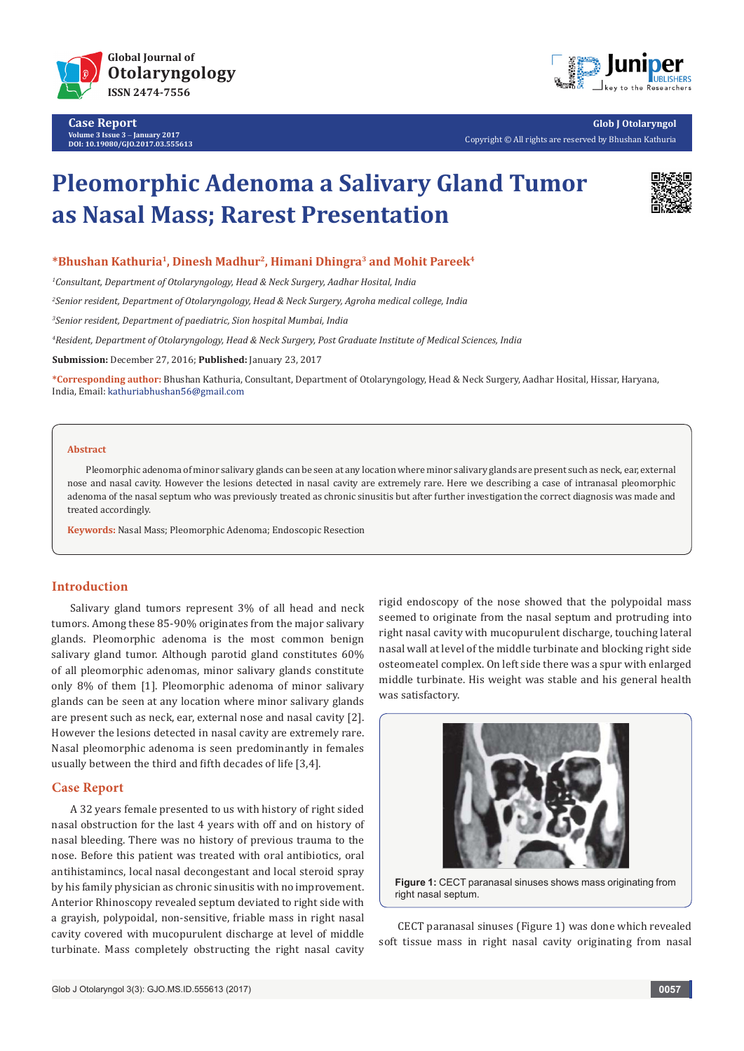

**Case Report Volume 3 Issue 3** - **January 2017 DOI: [10.19080/GJO.2017.03.555613](http://dx.doi.org/10.19080/GJO.2017.03.555613
)**



**Glob J Otolaryngol** Copyright © All rights are reserved by Bhushan Kathuria

# **Pleomorphic Adenoma a Salivary Gland Tumor as Nasal Mass; Rarest Presentation**



## **\*Bhushan Kathuria1, Dinesh Madhur2, Himani Dhingra3 and Mohit Pareek4**

*1 Consultant, Department of Otolaryngology, Head & Neck Surgery, Aadhar Hosital, India*

*2 Senior resident, Department of Otolaryngology, Head & Neck Surgery, Agroha medical college, India*

*3 Senior resident, Department of paediatric, Sion hospital Mumbai, India*

*4 Resident, Department of Otolaryngology, Head & Neck Surgery, Post Graduate Institute of Medical Sciences, India*

**Submission:** December 27, 2016; **Published:** January 23, 2017

**\*Corresponding author:** Bhushan Kathuria, Consultant, Department of Otolaryngology, Head & Neck Surgery, Aadhar Hosital, Hissar, Haryana, India, Email: kathuriabhushan56@gmail.com

#### **Abstract**

Pleomorphic adenoma of minor salivary glands can be seen at any location where minor salivary glands are present such as neck, ear, external nose and nasal cavity. However the lesions detected in nasal cavity are extremely rare. Here we describing a case of intranasal pleomorphic adenoma of the nasal septum who was previously treated as chronic sinusitis but after further investigation the correct diagnosis was made and treated accordingly.

**Keywords:** Nasal Mass; Pleomorphic Adenoma; Endoscopic Resection

#### **Introduction**

Salivary gland tumors represent 3% of all head and neck tumors. Among these 85-90% originates from the major salivary glands. Pleomorphic adenoma is the most common benign salivary gland tumor. Although parotid gland constitutes 60% of all pleomorphic adenomas, minor salivary glands constitute only 8% of them [1]. Pleomorphic adenoma of minor salivary glands can be seen at any location where minor salivary glands are present such as neck, ear, external nose and nasal cavity [2]. However the lesions detected in nasal cavity are extremely rare. Nasal pleomorphic adenoma is seen predominantly in females usually between the third and fifth decades of life [3,4].

## **Case Report**

A 32 years female presented to us with history of right sided nasal obstruction for the last 4 years with off and on history of nasal bleeding. There was no history of previous trauma to the nose. Before this patient was treated with oral antibiotics, oral antihistamincs, local nasal decongestant and local steroid spray by his family physician as chronic sinusitis with no improvement. Anterior Rhinoscopy revealed septum deviated to right side with a grayish, polypoidal, non-sensitive, friable mass in right nasal cavity covered with mucopurulent discharge at level of middle turbinate. Mass completely obstructing the right nasal cavity

rigid endoscopy of the nose showed that the polypoidal mass seemed to originate from the nasal septum and protruding into right nasal cavity with mucopurulent discharge, touching lateral nasal wall at level of the middle turbinate and blocking right side osteomeatel complex. On left side there was a spur with enlarged middle turbinate. His weight was stable and his general health was satisfactory.



**Figure 1:** CECT paranasal sinuses shows mass originating from right nasal septum.

CECT paranasal sinuses (Figure 1) was done which revealed soft tissue mass in right nasal cavity originating from nasal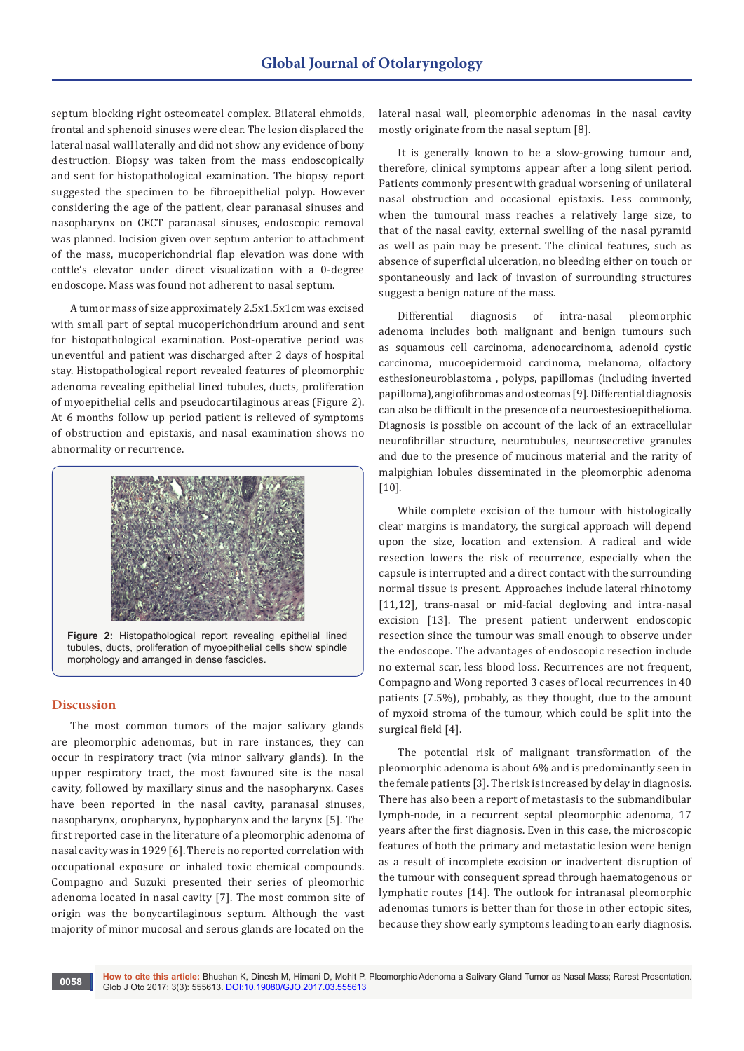septum blocking right osteomeatel complex. Bilateral ehmoids, frontal and sphenoid sinuses were clear. The lesion displaced the lateral nasal wall laterally and did not show any evidence of bony destruction. Biopsy was taken from the mass endoscopically and sent for histopathological examination. The biopsy report suggested the specimen to be fibroepithelial polyp. However considering the age of the patient, clear paranasal sinuses and nasopharynx on CECT paranasal sinuses, endoscopic removal was planned. Incision given over septum anterior to attachment of the mass, mucoperichondrial flap elevation was done with cottle's elevator under direct visualization with a 0-degree endoscope. Mass was found not adherent to nasal septum.

A tumor mass of size approximately 2.5x1.5x1cm was excised with small part of septal mucoperichondrium around and sent for histopathological examination. Post-operative period was uneventful and patient was discharged after 2 days of hospital stay. Histopathological report revealed features of pleomorphic adenoma revealing epithelial lined tubules, ducts, proliferation of myoepithelial cells and pseudocartilaginous areas (Figure 2). At 6 months follow up period patient is relieved of symptoms of obstruction and epistaxis, and nasal examination shows no abnormality or recurrence.



**Figure 2:** Histopathological report revealing epithelial lined tubules, ducts, proliferation of myoepithelial cells show spindle morphology and arranged in dense fascicles.

## **Discussion**

The most common tumors of the major salivary glands are pleomorphic adenomas, but in rare instances, they can occur in respiratory tract (via minor salivary glands). In the upper respiratory tract, the most favoured site is the nasal cavity, followed by maxillary sinus and the nasopharynx. Cases have been reported in the nasal cavity, paranasal sinuses, nasopharynx, oropharynx, hypopharynx and the larynx [5]. The first reported case in the literature of a pleomorphic adenoma of nasal cavity was in 1929 [6]. There is no reported correlation with occupational exposure or inhaled toxic chemical compounds. Compagno and Suzuki presented their series of pleomorhic adenoma located in nasal cavity [7]. The most common site of origin was the bonycartilaginous septum. Although the vast majority of minor mucosal and serous glands are located on the

lateral nasal wall, pleomorphic adenomas in the nasal cavity mostly originate from the nasal septum [8].

It is generally known to be a slow-growing tumour and, therefore, clinical symptoms appear after a long silent period. Patients commonly present with gradual worsening of unilateral nasal obstruction and occasional epistaxis. Less commonly, when the tumoural mass reaches a relatively large size, to that of the nasal cavity, external swelling of the nasal pyramid as well as pain may be present. The clinical features, such as absence of superficial ulceration, no bleeding either on touch or spontaneously and lack of invasion of surrounding structures suggest a benign nature of the mass.

Differential diagnosis of intra-nasal pleomorphic adenoma includes both malignant and benign tumours such as squamous cell carcinoma, adenocarcinoma, adenoid cystic carcinoma, mucoepidermoid carcinoma, melanoma, olfactory esthesioneuroblastoma , polyps, papillomas (including inverted papilloma), angiofibromas and osteomas [9]. Differential diagnosis can also be difficult in the presence of a neuroestesioepithelioma. Diagnosis is possible on account of the lack of an extracellular neurofibrillar structure, neurotubules, neurosecretive granules and due to the presence of mucinous material and the rarity of malpighian lobules disseminated in the pleomorphic adenoma [10].

While complete excision of the tumour with histologically clear margins is mandatory, the surgical approach will depend upon the size, location and extension. A radical and wide resection lowers the risk of recurrence, especially when the capsule is interrupted and a direct contact with the surrounding normal tissue is present. Approaches include lateral rhinotomy [11,12], trans-nasal or mid-facial degloving and intra-nasal excision [13]. The present patient underwent endoscopic resection since the tumour was small enough to observe under the endoscope. The advantages of endoscopic resection include no external scar, less blood loss. Recurrences are not frequent, Compagno and Wong reported 3 cases of local recurrences in 40 patients (7.5%), probably, as they thought, due to the amount of myxoid stroma of the tumour, which could be split into the surgical field [4].

The potential risk of malignant transformation of the pleomorphic adenoma is about 6% and is predominantly seen in the female patients [3]. The risk is increased by delay in diagnosis. There has also been a report of metastasis to the submandibular lymph-node, in a recurrent septal pleomorphic adenoma, 17 years after the first diagnosis. Even in this case, the microscopic features of both the primary and metastatic lesion were benign as a result of incomplete excision or inadvertent disruption of the tumour with consequent spread through haematogenous or lymphatic routes [14]. The outlook for intranasal pleomorphic adenomas tumors is better than for those in other ectopic sites, because they show early symptoms leading to an early diagnosis.